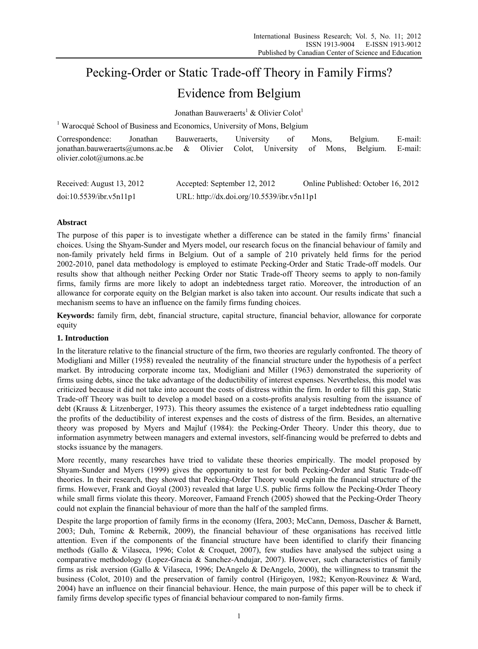# Pecking-Order or Static Trade-off Theory in Family Firms?

# Evidence from Belgium

Jonathan Bauweraerts<sup>1</sup> & Olivier Colot<sup>1</sup>

<sup>1</sup> Warocqué School of Business and Economics, University of Mons, Belgium

Correspondence: Jonathan Bauweraerts, University of Mons, Belgium. E-mail: jonathan.bauweraerts@umons.ac.be & Olivier Colot, University of Mons, Belgium. E-mail: olivier.colot@umons.ac.be

| Received: August 13, 2012 | Accepted: September 12, 2012               | Online Published: October 16, 2012 |
|---------------------------|--------------------------------------------|------------------------------------|
| doi:10.5539/ibr.v5n11p1   | URL: http://dx.doi.org/10.5539/ibr.v5n11p1 |                                    |

# **Abstract**

The purpose of this paper is to investigate whether a difference can be stated in the family firms' financial choices. Using the Shyam-Sunder and Myers model, our research focus on the financial behaviour of family and non-family privately held firms in Belgium. Out of a sample of 210 privately held firms for the period 2002-2010, panel data methodology is employed to estimate Pecking-Order and Static Trade-off models. Our results show that although neither Pecking Order nor Static Trade-off Theory seems to apply to non-family firms, family firms are more likely to adopt an indebtedness target ratio. Moreover, the introduction of an allowance for corporate equity on the Belgian market is also taken into account. Our results indicate that such a mechanism seems to have an influence on the family firms funding choices.

**Keywords:** family firm, debt, financial structure, capital structure, financial behavior, allowance for corporate equity

## **1. Introduction**

In the literature relative to the financial structure of the firm, two theories are regularly confronted. The theory of Modigliani and Miller (1958) revealed the neutrality of the financial structure under the hypothesis of a perfect market. By introducing corporate income tax, Modigliani and Miller (1963) demonstrated the superiority of firms using debts, since the take advantage of the deductibility of interest expenses. Nevertheless, this model was criticized because it did not take into account the costs of distress within the firm. In order to fill this gap, Static Trade-off Theory was built to develop a model based on a costs-profits analysis resulting from the issuance of debt (Krauss & Litzenberger, 1973). This theory assumes the existence of a target indebtedness ratio equalling the profits of the deductibility of interest expenses and the costs of distress of the firm. Besides, an alternative theory was proposed by Myers and Majluf (1984): the Pecking-Order Theory. Under this theory, due to information asymmetry between managers and external investors, self-financing would be preferred to debts and stocks issuance by the managers.

More recently, many researches have tried to validate these theories empirically. The model proposed by Shyam-Sunder and Myers (1999) gives the opportunity to test for both Pecking-Order and Static Trade-off theories. In their research, they showed that Pecking-Order Theory would explain the financial structure of the firms. However, Frank and Goyal (2003) revealed that large U.S. public firms follow the Pecking-Order Theory while small firms violate this theory. Moreover, Famaand French (2005) showed that the Pecking-Order Theory could not explain the financial behaviour of more than the half of the sampled firms.

Despite the large proportion of family firms in the economy (Ifera, 2003; McCann, Demoss, Dascher & Barnett, 2003; Duh, Tominc & Rebernik, 2009), the financial behaviour of these organisations has received little attention. Even if the components of the financial structure have been identified to clarify their financing methods (Gallo & Vilaseca, 1996; Colot & Croquet, 2007), few studies have analysed the subject using a comparative methodology (Lopez-Gracia & Sanchez-Andujar, 2007). However, such characteristics of family firms as risk aversion (Gallo & Vilaseca, 1996; DeAngelo & DeAngelo, 2000), the willingness to transmit the business (Colot, 2010) and the preservation of family control (Hirigoyen, 1982; Kenyon-Rouvinez & Ward, 2004) have an influence on their financial behaviour. Hence, the main purpose of this paper will be to check if family firms develop specific types of financial behaviour compared to non-family firms.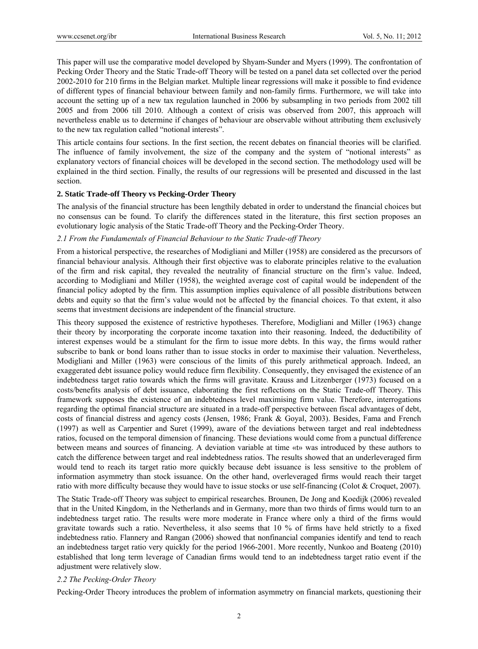This paper will use the comparative model developed by Shyam-Sunder and Myers (1999). The confrontation of Pecking Order Theory and the Static Trade-off Theory will be tested on a panel data set collected over the period 2002-2010 for 210 firms in the Belgian market. Multiple linear regressions will make it possible to find evidence of different types of financial behaviour between family and non-family firms. Furthermore, we will take into account the setting up of a new tax regulation launched in 2006 by subsampling in two periods from 2002 till 2005 and from 2006 till 2010. Although a context of crisis was observed from 2007, this approach will nevertheless enable us to determine if changes of behaviour are observable without attributing them exclusively to the new tax regulation called "notional interests".

This article contains four sections. In the first section, the recent debates on financial theories will be clarified. The influence of family involvement, the size of the company and the system of "notional interests" as explanatory vectors of financial choices will be developed in the second section. The methodology used will be explained in the third section. Finally, the results of our regressions will be presented and discussed in the last section.

### **2. Static Trade-off Theory vs Pecking-Order Theory**

The analysis of the financial structure has been lengthily debated in order to understand the financial choices but no consensus can be found. To clarify the differences stated in the literature, this first section proposes an evolutionary logic analysis of the Static Trade-off Theory and the Pecking-Order Theory.

# *2.1 From the Fundamentals of Financial Behaviour to the Static Trade-off Theory*

From a historical perspective, the researches of Modigliani and Miller (1958) are considered as the precursors of financial behaviour analysis. Although their first objective was to elaborate principles relative to the evaluation of the firm and risk capital, they revealed the neutrality of financial structure on the firm's value. Indeed, according to Modigliani and Miller (1958), the weighted average cost of capital would be independent of the financial policy adopted by the firm. This assumption implies equivalence of all possible distributions between debts and equity so that the firm's value would not be affected by the financial choices. To that extent, it also seems that investment decisions are independent of the financial structure.

This theory supposed the existence of restrictive hypotheses. Therefore, Modigliani and Miller (1963) change their theory by incorporating the corporate income taxation into their reasoning. Indeed, the deductibility of interest expenses would be a stimulant for the firm to issue more debts. In this way, the firms would rather subscribe to bank or bond loans rather than to issue stocks in order to maximise their valuation. Nevertheless, Modigliani and Miller (1963) were conscious of the limits of this purely arithmetical approach. Indeed, an exaggerated debt issuance policy would reduce firm flexibility. Consequently, they envisaged the existence of an indebtedness target ratio towards which the firms will gravitate. Krauss and Litzenberger (1973) focused on a costs/benefits analysis of debt issuance, elaborating the first reflections on the Static Trade-off Theory. This framework supposes the existence of an indebtedness level maximising firm value. Therefore, interrogations regarding the optimal financial structure are situated in a trade-off perspective between fiscal advantages of debt, costs of financial distress and agency costs (Jensen, 1986; Frank & Goyal, 2003). Besides, Fama and French (1997) as well as Carpentier and Suret (1999), aware of the deviations between target and real indebtedness ratios, focused on the temporal dimension of financing. These deviations would come from a punctual difference between means and sources of financing. A deviation variable at time «t» was introduced by these authors to catch the difference between target and real indebtedness ratios. The results showed that an underleveraged firm would tend to reach its target ratio more quickly because debt issuance is less sensitive to the problem of information asymmetry than stock issuance. On the other hand, overleveraged firms would reach their target ratio with more difficulty because they would have to issue stocks or use self-financing (Colot & Croquet, 2007).

The Static Trade-off Theory was subject to empirical researches. Brounen, De Jong and Koedijk (2006) revealed that in the United Kingdom, in the Netherlands and in Germany, more than two thirds of firms would turn to an indebtedness target ratio. The results were more moderate in France where only a third of the firms would gravitate towards such a ratio. Nevertheless, it also seems that 10 % of firms have held strictly to a fixed indebtedness ratio. Flannery and Rangan (2006) showed that nonfinancial companies identify and tend to reach an indebtedness target ratio very quickly for the period 1966-2001. More recently, Nunkoo and Boateng (2010) established that long term leverage of Canadian firms would tend to an indebtedness target ratio event if the adjustment were relatively slow.

#### *2.2 The Pecking-Order Theory*

Pecking-Order Theory introduces the problem of information asymmetry on financial markets, questioning their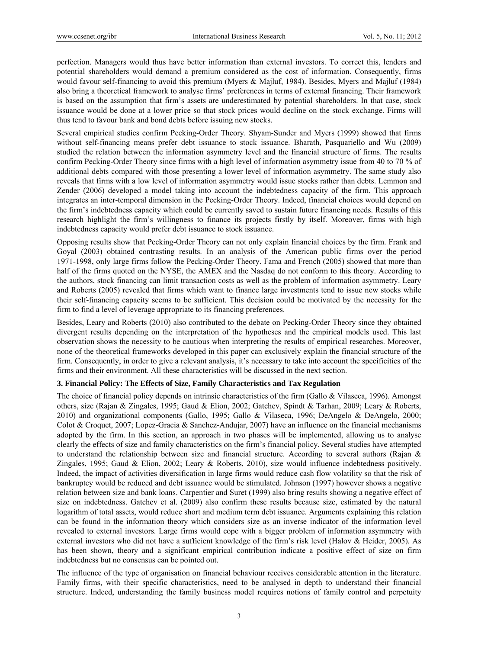perfection. Managers would thus have better information than external investors. To correct this, lenders and potential shareholders would demand a premium considered as the cost of information. Consequently, firms would favour self-financing to avoid this premium (Myers & Majluf, 1984). Besides, Myers and Majluf (1984) also bring a theoretical framework to analyse firms' preferences in terms of external financing. Their framework is based on the assumption that firm's assets are underestimated by potential shareholders. In that case, stock issuance would be done at a lower price so that stock prices would decline on the stock exchange. Firms will thus tend to favour bank and bond debts before issuing new stocks.

Several empirical studies confirm Pecking-Order Theory. Shyam-Sunder and Myers (1999) showed that firms without self-financing means prefer debt issuance to stock issuance. Bharath, Pasquariello and Wu (2009) studied the relation between the information asymmetry level and the financial structure of firms. The results confirm Pecking-Order Theory since firms with a high level of information asymmetry issue from 40 to 70 % of additional debts compared with those presenting a lower level of information asymmetry. The same study also reveals that firms with a low level of information asymmetry would issue stocks rather than debts. Lemmon and Zender (2006) developed a model taking into account the indebtedness capacity of the firm. This approach integrates an inter-temporal dimension in the Pecking-Order Theory. Indeed, financial choices would depend on the firm's indebtedness capacity which could be currently saved to sustain future financing needs. Results of this research highlight the firm's willingness to finance its projects firstly by itself. Moreover, firms with high indebtedness capacity would prefer debt issuance to stock issuance.

Opposing results show that Pecking-Order Theory can not only explain financial choices by the firm. Frank and Goyal (2003) obtained contrasting results. In an analysis of the American public firms over the period 1971-1998, only large firms follow the Pecking-Order Theory. Fama and French (2005) showed that more than half of the firms quoted on the NYSE, the AMEX and the Nasdaq do not conform to this theory. According to the authors, stock financing can limit transaction costs as well as the problem of information asymmetry. Leary and Roberts (2005) revealed that firms which want to finance large investments tend to issue new stocks while their self-financing capacity seems to be sufficient. This decision could be motivated by the necessity for the firm to find a level of leverage appropriate to its financing preferences.

Besides, Leary and Roberts (2010) also contributed to the debate on Pecking-Order Theory since they obtained divergent results depending on the interpretation of the hypotheses and the empirical models used. This last observation shows the necessity to be cautious when interpreting the results of empirical researches. Moreover, none of the theoretical frameworks developed in this paper can exclusively explain the financial structure of the firm. Consequently, in order to give a relevant analysis, it's necessary to take into account the specificities of the firms and their environment. All these characteristics will be discussed in the next section.

# **3. Financial Policy: The Effects of Size, Family Characteristics and Tax Regulation**

The choice of financial policy depends on intrinsic characteristics of the firm (Gallo & Vilaseca, 1996). Amongst others, size (Rajan & Zingales, 1995; Gaud & Elion, 2002; Gatchev, Spindt & Tarhan, 2009; Leary & Roberts, 2010) and organizational components (Gallo, 1995; Gallo & Vilaseca, 1996; DeAngelo & DeAngelo, 2000; Colot & Croquet, 2007; Lopez-Gracia & Sanchez-Andujar, 2007) have an influence on the financial mechanisms adopted by the firm. In this section, an approach in two phases will be implemented, allowing us to analyse clearly the effects of size and family characteristics on the firm's financial policy. Several studies have attempted to understand the relationship between size and financial structure. According to several authors (Rajan & Zingales, 1995; Gaud & Elion, 2002; Leary & Roberts, 2010), size would influence indebtedness positively. Indeed, the impact of activities diversification in large firms would reduce cash flow volatility so that the risk of bankruptcy would be reduced and debt issuance would be stimulated. Johnson (1997) however shows a negative relation between size and bank loans. Carpentier and Suret (1999) also bring results showing a negative effect of size on indebtedness. Gatchev et al. (2009) also confirm these results because size, estimated by the natural logarithm of total assets, would reduce short and medium term debt issuance. Arguments explaining this relation can be found in the information theory which considers size as an inverse indicator of the information level revealed to external investors. Large firms would cope with a bigger problem of information asymmetry with external investors who did not have a sufficient knowledge of the firm's risk level (Halov & Heider, 2005). As has been shown, theory and a significant empirical contribution indicate a positive effect of size on firm indebtedness but no consensus can be pointed out.

The influence of the type of organisation on financial behaviour receives considerable attention in the literature. Family firms, with their specific characteristics, need to be analysed in depth to understand their financial structure. Indeed, understanding the family business model requires notions of family control and perpetuity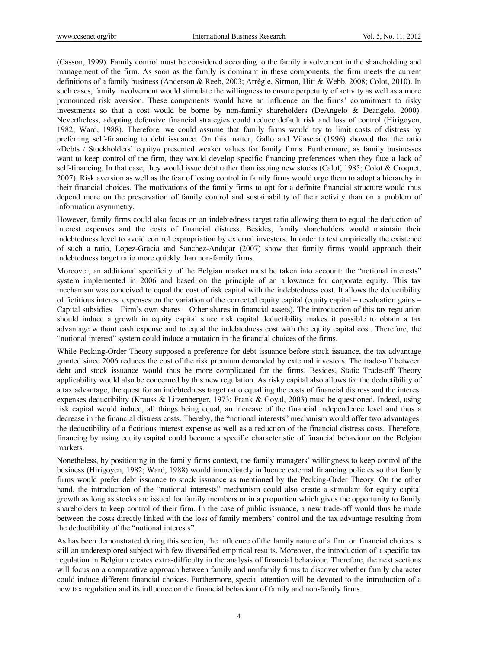(Casson, 1999). Family control must be considered according to the family involvement in the shareholding and management of the firm. As soon as the family is dominant in these components, the firm meets the current definitions of a family business (Anderson & Reeb, 2003; Arrègle, Sirmon, Hitt & Webb, 2008; Colot, 2010). In such cases, family involvement would stimulate the willingness to ensure perpetuity of activity as well as a more pronounced risk aversion. These components would have an influence on the firms' commitment to risky investments so that a cost would be borne by non-family shareholders (DeAngelo & Deangelo, 2000). Nevertheless, adopting defensive financial strategies could reduce default risk and loss of control (Hirigoyen, 1982; Ward, 1988). Therefore, we could assume that family firms would try to limit costs of distress by preferring self-financing to debt issuance. On this matter, Gallo and Vilaseca (1996) showed that the ratio «Debts / Stockholders' equity» presented weaker values for family firms. Furthermore, as family businesses want to keep control of the firm, they would develop specific financing preferences when they face a lack of self-financing. In that case, they would issue debt rather than issuing new stocks (Calof, 1985; Colot & Croquet, 2007). Risk aversion as well as the fear of losing control in family firms would urge them to adopt a hierarchy in their financial choices. The motivations of the family firms to opt for a definite financial structure would thus depend more on the preservation of family control and sustainability of their activity than on a problem of information asymmetry.

However, family firms could also focus on an indebtedness target ratio allowing them to equal the deduction of interest expenses and the costs of financial distress. Besides, family shareholders would maintain their indebtedness level to avoid control expropriation by external investors. In order to test empirically the existence of such a ratio, Lopez-Gracia and Sanchez-Andujar (2007) show that family firms would approach their indebtedness target ratio more quickly than non-family firms.

Moreover, an additional specificity of the Belgian market must be taken into account: the "notional interests" system implemented in 2006 and based on the principle of an allowance for corporate equity. This tax mechanism was conceived to equal the cost of risk capital with the indebtedness cost. It allows the deductibility of fictitious interest expenses on the variation of the corrected equity capital (equity capital – revaluation gains – Capital subsidies – Firm's own shares – Other shares in financial assets). The introduction of this tax regulation should induce a growth in equity capital since risk capital deductibility makes it possible to obtain a tax advantage without cash expense and to equal the indebtedness cost with the equity capital cost. Therefore, the "notional interest" system could induce a mutation in the financial choices of the firms.

While Pecking-Order Theory supposed a preference for debt issuance before stock issuance, the tax advantage granted since 2006 reduces the cost of the risk premium demanded by external investors. The trade-off between debt and stock issuance would thus be more complicated for the firms. Besides, Static Trade-off Theory applicability would also be concerned by this new regulation. As risky capital also allows for the deductibility of a tax advantage, the quest for an indebtedness target ratio equalling the costs of financial distress and the interest expenses deductibility (Krauss & Litzenberger, 1973; Frank & Goyal, 2003) must be questioned. Indeed, using risk capital would induce, all things being equal, an increase of the financial independence level and thus a decrease in the financial distress costs. Thereby, the "notional interests" mechanism would offer two advantages: the deductibility of a fictitious interest expense as well as a reduction of the financial distress costs. Therefore, financing by using equity capital could become a specific characteristic of financial behaviour on the Belgian markets.

Nonetheless, by positioning in the family firms context, the family managers' willingness to keep control of the business (Hirigoyen, 1982; Ward, 1988) would immediately influence external financing policies so that family firms would prefer debt issuance to stock issuance as mentioned by the Pecking-Order Theory. On the other hand, the introduction of the "notional interests" mechanism could also create a stimulant for equity capital growth as long as stocks are issued for family members or in a proportion which gives the opportunity to family shareholders to keep control of their firm. In the case of public issuance, a new trade-off would thus be made between the costs directly linked with the loss of family members' control and the tax advantage resulting from the deductibility of the "notional interests".

As has been demonstrated during this section, the influence of the family nature of a firm on financial choices is still an underexplored subject with few diversified empirical results. Moreover, the introduction of a specific tax regulation in Belgium creates extra-difficulty in the analysis of financial behaviour. Therefore, the next sections will focus on a comparative approach between family and nonfamily firms to discover whether family character could induce different financial choices. Furthermore, special attention will be devoted to the introduction of a new tax regulation and its influence on the financial behaviour of family and non-family firms.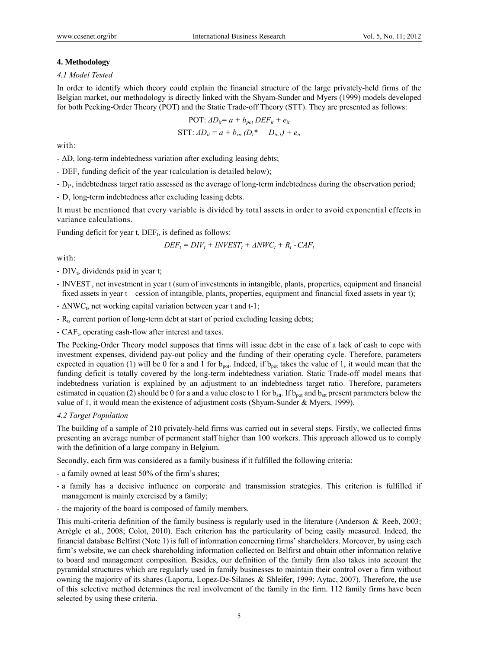### **4. Methodology**

### *4.1 Model Tested*

In order to identify which theory could explain the financial structure of the large privately-held firms of the Belgian market, our methodology is directly linked with the Shyam-Sunder and Myers (1999) models developed for both Pecking-Order Theory (POT) and the Static Trade-off Theory (STT). They are presented as follows:

$$
POT: AD_{it} = a + b_{pot} DEF_{it} + e_{it}
$$
  
STT: 
$$
AD_{it} = a + b_{stt} (D_i^* - D_{it-1}) + e_{it}
$$

with:

- ΔD, long-term indebtedness variation after excluding leasing debts;

- DEF, funding deficit of the year (calculation is detailed below);

- Di\*, indebtedness target ratio assessed as the average of long-term indebtedness during the observation period;

- D, long-term indebtedness after excluding leasing debts.

It must be mentioned that every variable is divided by total assets in order to avoid exponential effects in variance calculations.

Funding deficit for year t,  $DEF_{t}$ , is defined as follows:

$$
DEF_t = DIV_t + INVEST_t + \Delta NWC_t + R_t - CAF_t
$$

with:

- DIV<sub>t</sub>, dividends paid in year t;
- INVEST<sub>t</sub>, net investment in year t (sum of investments in intangible, plants, properties, equipment and financial fixed assets in year t – cession of intangible, plants, properties, equipment and financial fixed assets in year t);
- $\triangle NWC_t$ , net working capital variation between year t and t-1;
- R<sub>t</sub>, current portion of long-term debt at start of period excluding leasing debts;
- $-CAF<sub>t</sub>$ , operating cash-flow after interest and taxes.

The Pecking-Order Theory model supposes that firms will issue debt in the case of a lack of cash to cope with investment expenses, dividend pay-out policy and the funding of their operating cycle. Therefore, parameters expected in equation (1) will be 0 for a and 1 for  $b_{pot}$ . Indeed, if  $b_{pot}$  takes the value of 1, it would mean that the funding deficit is totally covered by the long-term indebtedness variation. Static Trade-off model means that indebtedness variation is explained by an adjustment to an indebtedness target ratio. Therefore, parameters estimated in equation (2) should be 0 for a and a value close to 1 for  $b_{\rm str}$ . If  $b_{\rm not}$  and  $b_{\rm str}$  present parameters below the value of 1, it would mean the existence of adjustment costs (Shyam-Sunder & Myers, 1999).

## *4.2 Target Population*

The building of a sample of 210 privately-held firms was carried out in several steps. Firstly, we collected firms presenting an average number of permanent staff higher than 100 workers. This approach allowed us to comply with the definition of a large company in Belgium.

Secondly, each firm was considered as a family business if it fulfilled the following criteria:

- a family owned at least 50% of the firm's shares;
- a family has a decisive influence on corporate and transmission strategies. This criterion is fulfilled if management is mainly exercised by a family;
- the majority of the board is composed of family members.

This multi-criteria definition of the family business is regularly used in the literature (Anderson & Reeb, 2003; Arrègle et al., 2008; Colot, 2010). Each criterion has the particularity of being easily measured. Indeed, the financial database Belfirst (Note 1) is full of information concerning firms' shareholders. Moreover, by using each firm's website, we can check shareholding information collected on Belfirst and obtain other information relative to board and management composition. Besides, our definition of the family firm also takes into account the pyramidal structures which are regularly used in family businesses to maintain their control over a firm without owning the majority of its shares (Laporta, Lopez-De-Silanes & Shleifer, 1999; Aytac, 2007). Therefore, the use of this selective method determines the real involvement of the family in the firm. 112 family firms have been selected by using these criteria.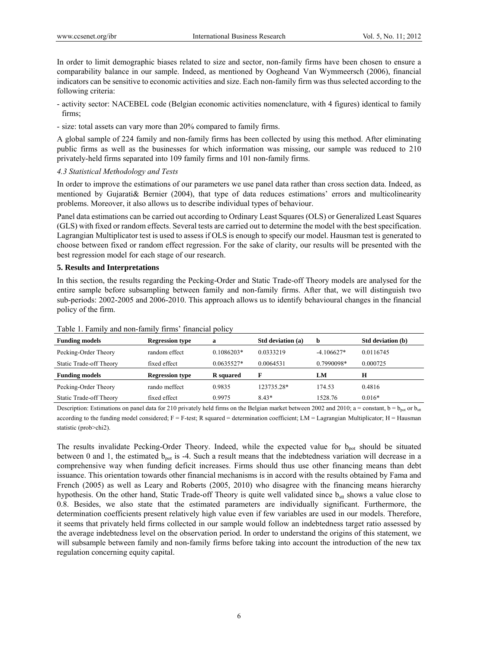In order to limit demographic biases related to size and sector, non-family firms have been chosen to ensure a comparability balance in our sample. Indeed, as mentioned by Oogheand Van Wymmeersch (2006), financial indicators can be sensitive to economic activities and size. Each non-family firm was thus selected according to the following criteria:

- activity sector: NACEBEL code (Belgian economic activities nomenclature, with 4 figures) identical to family firms;
- size: total assets can vary more than 20% compared to family firms.

A global sample of 224 family and non-family firms has been collected by using this method. After eliminating public firms as well as the businesses for which information was missing, our sample was reduced to 210 privately-held firms separated into 109 family firms and 101 non-family firms.

# *4.3 Statistical Methodology and Tests*

In order to improve the estimations of our parameters we use panel data rather than cross section data. Indeed, as mentioned by Gujarati& Bernier (2004), that type of data reduces estimations' errors and multicolinearity problems. Moreover, it also allows us to describe individual types of behaviour.

Panel data estimations can be carried out according to Ordinary Least Squares (OLS) or Generalized Least Squares (GLS) with fixed or random effects. Several tests are carried out to determine the model with the best specification. Lagrangian Multiplicator test is used to assess if OLS is enough to specify our model. Hausman test is generated to choose between fixed or random effect regression. For the sake of clarity, our results will be presented with the best regression model for each stage of our research.

## **5. Results and Interpretations**

In this section, the results regarding the Pecking-Order and Static Trade-off Theory models are analysed for the entire sample before subsampling between family and non-family firms. After that, we will distinguish two sub-periods: 2002-2005 and 2006-2010. This approach allows us to identify behavioural changes in the financial policy of the firm.

| <b>Funding models</b>   | <b>Regression type</b> | a                | Std deviation (a) | b            | <b>Std deviation (b)</b> |
|-------------------------|------------------------|------------------|-------------------|--------------|--------------------------|
| Pecking-Order Theory    | random effect          | $0.1086203*$     | 0.0333219         | $-4.106627*$ | 0.0116745                |
| Static Trade-off Theory | fixed effect           | $0.0635527*$     | 0.0064531         | 0.7990098*   | 0.000725                 |
| <b>Funding models</b>   | <b>Regression type</b> | <b>R</b> squared | F                 | LМ           | H                        |
| Pecking-Order Theory    | rando meffect          | 0.9835           | 123735.28*        | 174.53       | 0.4816                   |
| Static Trade-off Theory | fixed effect           | 0.9975           | 8.43*             | 1528.76      | $0.016*$                 |

#### Table 1. Family and non-family firms' financial policy

Description: Estimations on panel data for 210 privately held firms on the Belgian market between 2002 and 2010; a = constant, b = b<sub>pot</sub> or b<sub>stt</sub> according to the funding model considered;  $F = F$ -test; R squared = determination coefficient;  $LM = Lag$ rangian Multiplicator;  $H =$  Hausman statistic (prob>chi2).

The results invalidate Pecking-Order Theory. Indeed, while the expected value for  $b_{pot}$  should be situated between 0 and 1, the estimated  $b_{pot}$  is -4. Such a result means that the indebtedness variation will decrease in a comprehensive way when funding deficit increases. Firms should thus use other financing means than debt issuance. This orientation towards other financial mechanisms is in accord with the results obtained by Fama and French (2005) as well as Leary and Roberts (2005, 2010) who disagree with the financing means hierarchy hypothesis. On the other hand, Static Trade-off Theory is quite well validated since b<sub>stt</sub> shows a value close to 0.8. Besides, we also state that the estimated parameters are individually significant. Furthermore, the determination coefficients present relatively high value even if few variables are used in our models. Therefore, it seems that privately held firms collected in our sample would follow an indebtedness target ratio assessed by the average indebtedness level on the observation period. In order to understand the origins of this statement, we will subsample between family and non-family firms before taking into account the introduction of the new tax regulation concerning equity capital.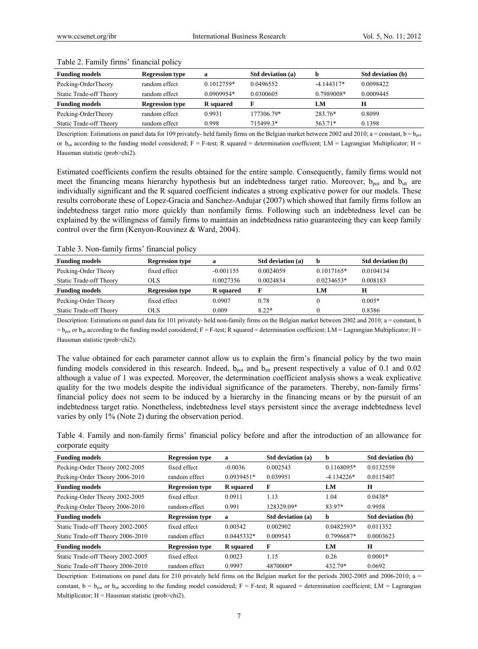| <b>Funding models</b>   | <b>Regression type</b> | a                | <b>Std deviation (a)</b> |              | <b>Std deviation (b)</b> |
|-------------------------|------------------------|------------------|--------------------------|--------------|--------------------------|
| Pecking-OrderTheory     | random effect          | $0.1012759*$     | 0.0496552                | $-4.144317*$ | 0.0098422                |
| Static Trade-off Theory | random effect          | 0.0909954*       | 0.0300605                | 0.7989008*   | 0.0009445                |
| <b>Funding models</b>   | <b>Regression type</b> | <b>R</b> squared |                          | LM           | н                        |
| Pecking-OrderTheory     | random effect          | 0.9931           | 177306.79*               | 283.76*      | 0.8099                   |
| Static Trade-off Theory | random effect          | 0.998            | 715499.3*                | 563.71*      | 0.1398                   |

#### Table 2. Family firms' financial policy

Description: Estimations on panel data for 109 privately- held family firms on the Belgian market between 2002 and 2010; a = constant, b =  $b_{pot}$ or  $b_{\text{st}}$  according to the funding model considered; F = F-test; R squared = determination coefficient; LM = Lagrangian Multiplicator; H = Hausman statistic (prob>chi2).

Estimated coefficients confirm the results obtained for the entire sample. Consequently, family firms would not meet the financing means hierarchy hypothesis but an indebtedness target ratio. Moreover,  $b_{pot}$  and  $b_{stt}$  are individually significant and the R squared coefficient indicates a strong explicative power for our models. These results corroborate these of Lopez-Gracia and Sanchez-Andujar (2007) which showed that family firms follow an indebtedness target ratio more quickly than nonfamily firms. Following such an indebtedness level can be explained by the willingness of family firms to maintain an indebtedness ratio guaranteeing they can keep family control over the firm (Kenyon-Rouvinez & Ward, 2004).

|  |  | Table 3. Non-family firms' financial policy |  |
|--|--|---------------------------------------------|--|
|  |  |                                             |  |

| <b>Funding models</b>   | <b>Regression type</b> | a                | Std deviation (a) | b            | <b>Std deviation (b)</b> |
|-------------------------|------------------------|------------------|-------------------|--------------|--------------------------|
| Pecking-Order Theory    | fixed effect           | $-0.001155$      | 0.0024059         | $0.1017165*$ | 0.0104134                |
| Static Trade-off Theory | OLS                    | 0.0027356        | 0.0024834         | $0.0234653*$ | 0.008183                 |
| <b>Funding models</b>   | <b>Regression type</b> | <b>R</b> squared |                   | LM           | н                        |
| Pecking-Order Theory    | fixed effect           | 0.0907           | 0.78              |              | $0.005*$                 |
| Static Trade-off Theory | OLS                    | 0.009            | $8.22*$           |              | 0.8386                   |

Description: Estimations on panel data for 101 privately- held non-family firms on the Belgian market between 2002 and 2010; a = constant, b  $=$  b<sub>pot</sub> or b<sub>stt</sub> according to the funding model considered; F = F-test; R squared = determination coefficient; LM = Lagrangian Multiplicator; H = Hausman statistic (prob>chi2).

The value obtained for each parameter cannot allow us to explain the firm's financial policy by the two main funding models considered in this research. Indeed,  $b_{pot}$  and  $b_{stt}$  present respectively a value of 0.1 and 0.02 although a value of 1 was expected. Moreover, the determination coefficient analysis shows a weak explicative quality for the two models despite the individual significance of the parameters. Thereby, non-family firms' financial policy does not seem to be induced by a hierarchy in the financing means or by the pursuit of an indebtedness target ratio. Nonetheless, indebtedness level stays persistent since the average indebtedness level varies by only 1% (Note 2) during the observation period.

Table 4. Family and non-family firms' financial policy before and after the introduction of an allowance for corporate equity

| <b>Funding models</b>             | <b>Regression type</b> | a                | Std deviation (a) | b            | Std deviation (b) |
|-----------------------------------|------------------------|------------------|-------------------|--------------|-------------------|
| Pecking-Order Theory 2002-2005    | fixed effect           | $-0.0036$        | 0.002543          | 0.1168095*   | 0.0132559         |
| Pecking-Order Theory 2006-2010    | random effect          | $0.0939451*$     | 0.039951          | $-4.134226*$ | 0.0115407         |
| <b>Funding models</b>             | <b>Regression type</b> | <b>R</b> squared | F                 | LM           | Н                 |
| Pecking-Order Theory 2002-2005    | fixed effect           | 0.0911           | 1.13              | 1.04         | $0.0438*$         |
| Pecking-Order Theory 2006-2010    | random effect          | 0.991            | 128329.09*        | 83.97*       | 0.9958            |
| <b>Funding models</b>             | <b>Regression type</b> | a                | Std deviation (a) | b            | Std deviation (b) |
| Static Trade-off Theory 2002-2005 | fixed effect           | 0.00542          | 0.002902          | $0.0482593*$ | 0.011352          |
| Static Trade-off Theory 2006-2010 | random effect          | $0.0445332*$     | 0.009543          | 0.7996687*   | 0.0003623         |
| <b>Funding models</b>             | <b>Regression type</b> | <b>R</b> squared | F                 | LM           | $\bf H$           |
| Static Trade-off Theory 2002-2005 | fixed effect           | 0.0023           | 1.15              | 0.26         | $0.0001*$         |
| Static Trade-off Theory 2006-2010 | random effect          | 0.9997           | 4870000*          | 432.79*      | 0.0692            |

Description: Estimations on panel data for 210 privately held firms on the Belgian market for the periods 2002-2005 and 2006-2010; a = constant,  $b = b_{pot}$  or  $b_{stt}$  according to the funding model considered;  $F = F$ -test; R squared = determination coefficient; LM = Lagrangian Multiplicator;  $H =$  Hausman statistic (prob>chi2).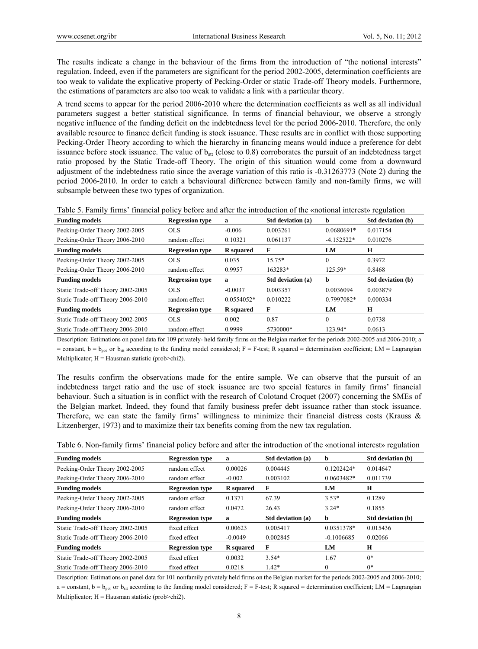The results indicate a change in the behaviour of the firms from the introduction of "the notional interests" regulation. Indeed, even if the parameters are significant for the period 2002-2005, determination coefficients are too weak to validate the explicative property of Pecking-Order or static Trade-off Theory models. Furthermore, the estimations of parameters are also too weak to validate a link with a particular theory.

A trend seems to appear for the period 2006-2010 where the determination coefficients as well as all individual parameters suggest a better statistical significance. In terms of financial behaviour, we observe a strongly negative influence of the funding deficit on the indebtedness level for the period 2006-2010. Therefore, the only available resource to finance deficit funding is stock issuance. These results are in conflict with those supporting Pecking-Order Theory according to which the hierarchy in financing means would induce a preference for debt issuance before stock issuance. The value of  $b_{\text{str}}$  (close to 0.8) corroborates the pursuit of an indebtedness target ratio proposed by the Static Trade-off Theory. The origin of this situation would come from a downward adjustment of the indebtedness ratio since the average variation of this ratio is -0.31263773 (Note 2) during the period 2006-2010. In order to catch a behavioural difference between family and non-family firms, we will subsample between these two types of organization.

| <b>Funding models</b>             | <b>Regression type</b> | a                | Std deviation (a) | b            | <b>Std deviation (b)</b> |
|-----------------------------------|------------------------|------------------|-------------------|--------------|--------------------------|
| Pecking-Order Theory 2002-2005    | <b>OLS</b>             | $-0.006$         | 0.003261          | 0.0680691*   | 0.017154                 |
| Pecking-Order Theory 2006-2010    | random effect          | 0.10321          | 0.061137          | $-4.152522*$ | 0.010276                 |
| <b>Funding models</b>             | <b>Regression type</b> | <b>R</b> squared | F                 | LM           | Н                        |
| Pecking-Order Theory 2002-2005    | <b>OLS</b>             | 0.035            | $15.75*$          | $\theta$     | 0.3972                   |
| Pecking-Order Theory 2006-2010    | random effect          | 0.9957           | 163283*           | 125.59*      | 0.8468                   |
|                                   |                        |                  |                   |              |                          |
| <b>Funding models</b>             | <b>Regression type</b> | a                | Std deviation (a) | b            | <b>Std deviation (b)</b> |
| Static Trade-off Theory 2002-2005 | <b>OLS</b>             | $-0.0037$        | 0.003357          | 0.0036094    | 0.003879                 |
| Static Trade-off Theory 2006-2010 | random effect          | $0.0554052*$     | 0.010222          | 0.7997082*   | 0.000334                 |
| <b>Funding models</b>             | <b>Regression type</b> | <b>R</b> squared | F                 | LM           | H                        |
| Static Trade-off Theory 2002-2005 | <b>OLS</b>             | 0.002            | 0.87              | $\theta$     | 0.0738                   |

Table 5. Family firms' financial policy before and after the introduction of the «notional interest» regulation

Description: Estimations on panel data for 109 privately- held family firms on the Belgian market for the periods 2002-2005 and 2006-2010; a = constant,  $b = b_{pot}$  or  $b_{st}$  according to the funding model considered;  $F = F-test$ ; R squared = determination coefficient; LM = Lagrangian Multiplicator;  $H =$  Hausman statistic (prob>chi2).

The results confirm the observations made for the entire sample. We can observe that the pursuit of an indebtedness target ratio and the use of stock issuance are two special features in family firms' financial behaviour. Such a situation is in conflict with the research of Colotand Croquet (2007) concerning the SMEs of the Belgian market. Indeed, they found that family business prefer debt issuance rather than stock issuance. Therefore, we can state the family firms' willingness to minimize their financial distress costs (Krauss & Litzenberger, 1973) and to maximize their tax benefits coming from the new tax regulation.

Table 6. Non-family firms' financial policy before and after the introduction of the «notional interest» regulation

| <b>Funding models</b>             | <b>Regression type</b> | a                | Std deviation (a) | b            | <b>Std deviation (b)</b> |
|-----------------------------------|------------------------|------------------|-------------------|--------------|--------------------------|
| Pecking-Order Theory 2002-2005    | random effect          | 0.00026          | 0.004445          | $0.1202424*$ | 0.014647                 |
| Pecking-Order Theory 2006-2010    | random effect          | $-0.002$         | 0.003102          | 0.0603482*   | 0.011739                 |
| <b>Funding models</b>             | <b>Regression type</b> | <b>R</b> squared | F                 | LM           | Н                        |
| Pecking-Order Theory 2002-2005    | random effect          | 0.1371           | 67.39             | $3.53*$      | 0.1289                   |
| Pecking-Order Theory 2006-2010    | random effect          | 0.0472           | 26.43             | $3.24*$      | 0.1855                   |
| <b>Funding models</b>             | <b>Regression type</b> | a                | Std deviation (a) | b            | <b>Std deviation (b)</b> |
| Static Trade-off Theory 2002-2005 | fixed effect           | 0.00623          | 0.005417          | 0.0351378*   | 0.015436                 |
| Static Trade-off Theory 2006-2010 | fixed effect           | $-0.0049$        | 0.002845          | $-0.1006685$ | 0.02066                  |
| <b>Funding models</b>             | <b>Regression type</b> | <b>R</b> squared | F                 | LM           | H                        |
| Static Trade-off Theory 2002-2005 | fixed effect           | 0.0032           | $3.54*$           | 1.67         | $0*$                     |
| Static Trade-off Theory 2006-2010 | fixed effect           | 0.0218           | $1.42*$           | $\theta$     | $0*$                     |

Description: Estimations on panel data for 101 nonfamily privately held firms on the Belgian market for the periods 2002-2005 and 2006-2010;  $a = constant$ ,  $b = b_{pot}$  or  $b_{stt}$  according to the funding model considered;  $F = F$ -test; R squared = determination coefficient; LM = Lagrangian Multiplicator;  $H =$  Hausman statistic (prob>chi2).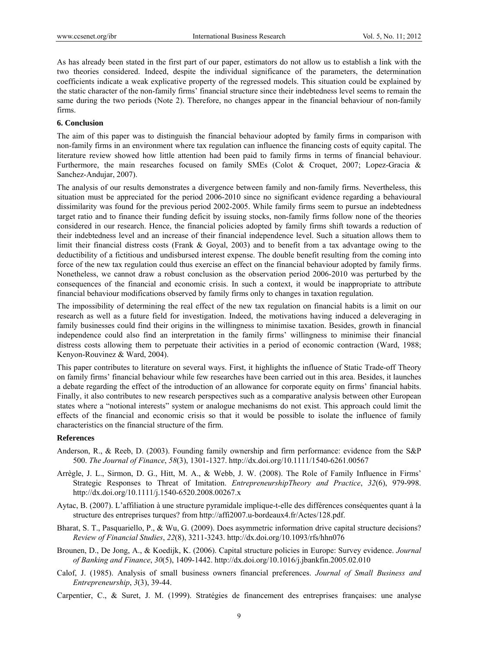As has already been stated in the first part of our paper, estimators do not allow us to establish a link with the two theories considered. Indeed, despite the individual significance of the parameters, the determination coefficients indicate a weak explicative property of the regressed models. This situation could be explained by the static character of the non-family firms' financial structure since their indebtedness level seems to remain the same during the two periods (Note 2). Therefore, no changes appear in the financial behaviour of non-family firms.

### **6. Conclusion**

The aim of this paper was to distinguish the financial behaviour adopted by family firms in comparison with non-family firms in an environment where tax regulation can influence the financing costs of equity capital. The literature review showed how little attention had been paid to family firms in terms of financial behaviour. Furthermore, the main researches focused on family SMEs (Colot & Croquet, 2007; Lopez-Gracia & Sanchez-Andujar, 2007).

The analysis of our results demonstrates a divergence between family and non-family firms. Nevertheless, this situation must be appreciated for the period 2006-2010 since no significant evidence regarding a behavioural dissimilarity was found for the previous period 2002-2005. While family firms seem to pursue an indebtedness target ratio and to finance their funding deficit by issuing stocks, non-family firms follow none of the theories considered in our research. Hence, the financial policies adopted by family firms shift towards a reduction of their indebtedness level and an increase of their financial independence level. Such a situation allows them to limit their financial distress costs (Frank & Goyal, 2003) and to benefit from a tax advantage owing to the deductibility of a fictitious and undisbursed interest expense. The double benefit resulting from the coming into force of the new tax regulation could thus exercise an effect on the financial behaviour adopted by family firms. Nonetheless, we cannot draw a robust conclusion as the observation period 2006-2010 was perturbed by the consequences of the financial and economic crisis. In such a context, it would be inappropriate to attribute financial behaviour modifications observed by family firms only to changes in taxation regulation.

The impossibility of determining the real effect of the new tax regulation on financial habits is a limit on our research as well as a future field for investigation. Indeed, the motivations having induced a deleveraging in family businesses could find their origins in the willingness to minimise taxation. Besides, growth in financial independence could also find an interpretation in the family firms' willingness to minimise their financial distress costs allowing them to perpetuate their activities in a period of economic contraction (Ward, 1988; Kenyon-Rouvinez & Ward, 2004).

This paper contributes to literature on several ways. First, it highlights the influence of Static Trade-off Theory on family firms' financial behaviour while few researches have been carried out in this area. Besides, it launches a debate regarding the effect of the introduction of an allowance for corporate equity on firms' financial habits. Finally, it also contributes to new research perspectives such as a comparative analysis between other European states where a "notional interests" system or analogue mechanisms do not exist. This approach could limit the effects of the financial and economic crisis so that it would be possible to isolate the influence of family characteristics on the financial structure of the firm.

#### **References**

- Anderson, R., & Reeb, D. (2003). Founding family ownership and firm performance: evidence from the S&P 500. *The Journal of Finance*, *58*(3), 1301-1327. http://dx.doi.org/10.1111/1540-6261.00567
- Arrègle, J. L., Sirmon, D. G., Hitt, M. A., & Webb, J. W. (2008). The Role of Family Influence in Firms' Strategic Responses to Threat of Imitation. *EntrepreneurshipTheory and Practice*, *32*(6), 979-998. http://dx.doi.org/10.1111/j.1540-6520.2008.00267.x
- Aytac, B. (2007). L'affiliation à une structure pyramidale implique-t-elle des différences conséquentes quant à la structure des entreprises turques? from http://affi2007.u-bordeaux4.fr/Actes/128.pdf.
- Bharat, S. T., Pasquariello, P., & Wu, G. (2009). Does asymmetric information drive capital structure decisions? *Review of Financial Studies*, *22*(8), 3211-3243. http://dx.doi.org/10.1093/rfs/hhn076
- Brounen, D., De Jong, A., & Koedijk, K. (2006). Capital structure policies in Europe: Survey evidence. *Journal of Banking and Finance*, *30*(5), 1409-1442. http://dx.doi.org/10.1016/j.jbankfin.2005.02.010
- Calof, J. (1985). Analysis of small business owners financial preferences. *Journal of Small Business and Entrepreneurship*, *3*(3), 39-44.
- Carpentier, C., & Suret, J. M. (1999). Stratégies de financement des entreprises françaises: une analyse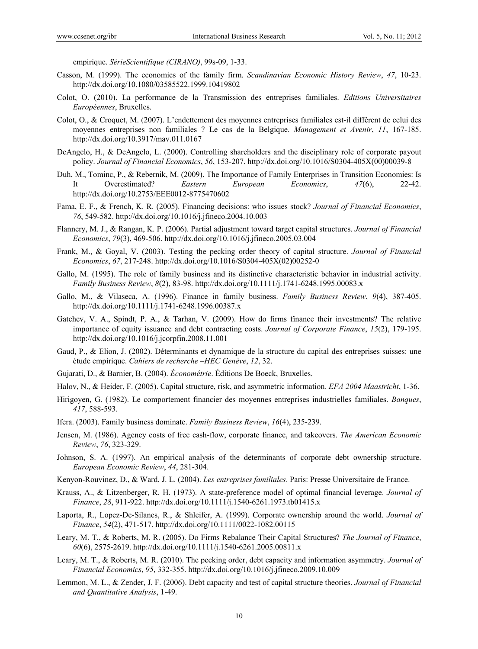empirique. *SérieScientifique (CIRANO)*, 99s-09, 1-33.

- Casson, M. (1999). The economics of the family firm. *Scandinavian Economic History Review*, *47*, 10-23. http://dx.doi.org/10.1080/03585522.1999.10419802
- Colot, O. (2010). La performance de la Transmission des entreprises familiales. *Editions Universitaires Européennes*, Bruxelles.
- Colot, O., & Croquet, M. (2007). L'endettement des moyennes entreprises familiales est-il différent de celui des moyennes entreprises non familiales ? Le cas de la Belgique. *Management et Avenir*, *11*, 167-185. http://dx.doi.org/10.3917/mav.011.0167
- DeAngelo, H., & DeAngelo, L. (2000). Controlling shareholders and the disciplinary role of corporate payout policy. *Journal of Financial Economics*, *56*, 153-207. http://dx.doi.org/10.1016/S0304-405X(00)00039-8
- Duh, M., Tominc, P., & Rebernik, M. (2009). The Importance of Family Enterprises in Transition Economies: Is It Overestimated? *Eastern European Economics*, *47*(6), 22-42. http://dx.doi.org/10.2753/EEE0012-8775470602
- Fama, E. F., & French, K. R. (2005). Financing decisions: who issues stock? *Journal of Financial Economics*, *76*, 549-582. http://dx.doi.org/10.1016/j.jfineco.2004.10.003
- Flannery, M. J., & Rangan, K. P. (2006). Partial adjustment toward target capital structures. *Journal of Financial Economics*, *79*(3), 469-506. http://dx.doi.org/10.1016/j.jfineco.2005.03.004
- Frank, M., & Goyal, V. (2003). Testing the pecking order theory of capital structure. *Journal of Financial Economics*, *67*, 217-248. http://dx.doi.org/10.1016/S0304-405X(02)00252-0
- Gallo, M. (1995). The role of family business and its distinctive characteristic behavior in industrial activity. *Family Business Review*, *8*(2), 83-98. http://dx.doi.org/10.1111/j.1741-6248.1995.00083.x
- Gallo, M., & Vilaseca, A. (1996). Finance in family business. *Family Business Review*, *9*(4), 387-405. http://dx.doi.org/10.1111/j.1741-6248.1996.00387.x
- Gatchev, V. A., Spindt, P. A., & Tarhan, V. (2009). How do firms finance their investments? The relative importance of equity issuance and debt contracting costs. *Journal of Corporate Finance*, *15*(2), 179-195. http://dx.doi.org/10.1016/j.jcorpfin.2008.11.001
- Gaud, P., & Elion, J. (2002). Déterminants et dynamique de la structure du capital des entreprises suisses: une étude empirique. *Cahiers de recherche –HEC Genève*, *12*, 32.
- Gujarati, D., & Barnier, B. (2004). *Économétrie*. Éditions De Boeck, Bruxelles.
- Halov, N., & Heider, F. (2005). Capital structure, risk, and asymmetric information. *EFA 2004 Maastricht*, 1-36.
- Hirigoyen, G. (1982). Le comportement financier des moyennes entreprises industrielles familiales. *Banques*, *417*, 588-593.
- Ifera. (2003). Family business dominate. *Family Business Review*, *16*(4), 235-239.
- Jensen, M. (1986). Agency costs of free cash-flow, corporate finance, and takeovers. *The American Economic Review*, *76*, 323-329.
- Johnson, S. A. (1997). An empirical analysis of the determinants of corporate debt ownership structure. *European Economic Review*, *44*, 281-304.
- Kenyon-Rouvinez, D., & Ward, J. L. (2004). *Les entreprises familiales*. Paris: Presse Universitaire de France.
- Krauss, A., & Litzenberger, R. H. (1973). A state-preference model of optimal financial leverage. *Journal of Finance*, *28*, 911-922. http://dx.doi.org/10.1111/j.1540-6261.1973.tb01415.x
- Laporta, R., Lopez-De-Silanes, R., & Shleifer, A. (1999). Corporate ownership around the world. *Journal of Finance*, *54*(2), 471-517. http://dx.doi.org/10.1111/0022-1082.00115
- Leary, M. T., & Roberts, M. R. (2005). Do Firms Rebalance Their Capital Structures? *The Journal of Finance*, *60*(6), 2575-2619. http://dx.doi.org/10.1111/j.1540-6261.2005.00811.x
- Leary, M. T., & Roberts, M. R. (2010). The pecking order, debt capacity and information asymmetry. *Journal of Financial Economics*, *95*, 332-355. http://dx.doi.org/10.1016/j.jfineco.2009.10.009
- Lemmon, M. L., & Zender, J. F. (2006). Debt capacity and test of capital structure theories. *Journal of Financial and Quantitative Analysis*, 1-49.